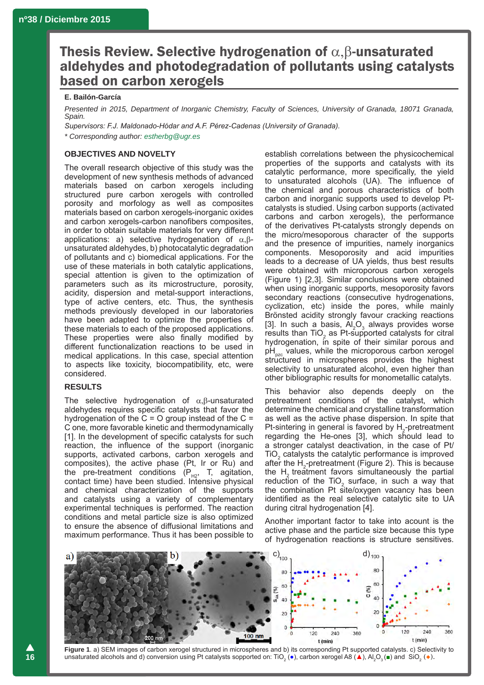# Thesis Review. Selective hydrogenation of  $\alpha$ ,  $\beta$ -unsaturated aldehydes and photodegradation of pollutants using catalysts based on carbon xerogels

### **E. Bailón-García**

*Presented in 2015, Department of Inorganic Chemistry, Faculty of Sciences, University of Granada, 18071 Granada, Spain.*

*Supervisors: F.J. Maldonado-Hódar and A.F. Pérez-Cadenas (University of Granada). \* Corresponding author: estherbg@ugr.es*

## **OBJECTIVES AND NOVELTY**

The overall research objective of this study was the development of new synthesis methods of advanced materials based on carbon xerogels including structured pure carbon xerogels with controlled porosity and morfology as well as composites materials based on carbon xerogels-inorganic oxides and carbon xerogels-carbon nanofibers composites, in order to obtain suitable materials for very different applications: a) selective hydrogenation of  $\alpha$ ,  $\beta$ unsaturated aldehydes, b) photocatalytic degradation of pollutants and c) biomedical applications. For the use of these materials in both catalytic applications, special attention is given to the optimization of parameters such as its microstructure, porosity, acidity, dispersion and metal-support interactions, type of active centers, etc. Thus, the synthesis methods previously developed in our laboratories have been adapted to optimize the properties of these materials to each of the proposed applications. These properties were also finally modified by different functionalization reactions to be used in medical applications. In this case, special attention to aspects like toxicity, biocompatibility, etc, were considered.

## **RESULTS**

The selective hydrogenation of  $\alpha$ , $\beta$ -unsaturated aldehydes requires specific catalysts that favor the hydrogenation of the  $C = O$  group instead of the  $C =$ C one, more favorable kinetic and thermodynamically [1]. In the development of specific catalysts for such reaction, the influence of the support (inorganic supports, activated carbons, carbon xerogels and composites), the active phase (Pt, Ir or Ru) and the pre-treatment conditions  $(P_{H2}, T,$  agitation, contact time) have been studied. Intensive physical and chemical characterization of the supports and catalysts using a variety of complementary experimental techniques is performed. The reaction conditions and metal particle size is also optimized to ensure the absence of diffusional limitations and maximum performance. Thus it has been possible to establish correlations between the physicochemical properties of the supports and catalysts with its catalytic performance, more specifically, the yield to unsaturated alcohols (UA). The influence of the chemical and porous characteristics of both carbon and inorganic supports used to develop Ptcatalysts is studied. Using carbon supports (activated carbons and carbon xerogels), the performance of the derivatives Pt-catalysts strongly depends on the micro/mesoporous character of the supports and the presence of impurities, namely inorganics components. Mesoporosity and acid impurities leads to a decrease of UA yields, thus best results were obtained with microporous carbon xerogels (Figure 1) [2,3]. Similar conclusions were obtained when using inorganic supports, mesoporosity favors secondary reactions (consecutive hydrogenations, cyclization, etc) inside the pores, while mainly Brönsted acidity strongly favour cracking reactions [3]. In such a basis,  $Al_2O_3$  always provides worse results than  $TiO<sub>2</sub>$  as Pt-supported catalysts for citral hydrogenation, in spite of their similar porous and  $pH_{pzc}$  values, while the microporous carbon xerogel structured in microspheres provides the highest selectivity to unsaturated alcohol, even higher than other bibliographic results for monometallic catalyts.

This behavior also depends deeply on the pretreatment conditions of the catalyst, which determine the chemical and crystalline transformation as well as the active phase dispersion. In spite that Pt-sintering in general is favored by  $H_2$ -pretreatment regarding the He-ones [3], which should lead to a stronger catalyst deactivation, in the case of Pt/  $TiO<sub>2</sub>$  catalysts the catalytic performance is improved after the  $H_2$ -pretreatment (Figure 2). This is because the  $H<sub>2</sub>$  treatment favors simultaneously the partial reduction of the  $TiO<sub>2</sub>$  surface, in such a way that the combination Pt site/oxygen vacancy has been identified as the real selective catalytic site to UA during citral hydrogenation [4].

Another important factor to take into acount is the active phase and the particle size because this type of hydrogenation reactions is structure sensitives.



**Figure 1**. a) SEM images of carbon xerogel structured in microspheres and b) its corresponding Pt supported catalysts. c) Selectivity to unsaturated alcohols and d) conversion using Pt catalysts sopported on: TiO<sub>2</sub> (●), carbon xerogel A8 (▲), Al<sub>2</sub>O<sub>3</sub> (■) and SiO<sub>2</sub> (◆).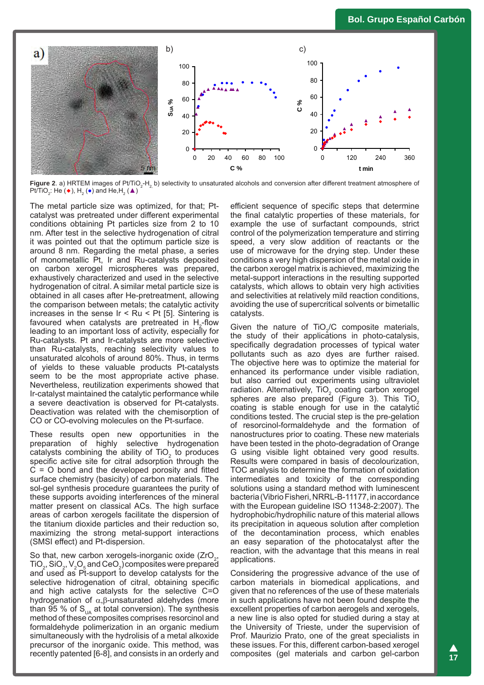

**Figure 2**. a) HRTEM images of Pt/TiO<sub>2</sub>-H<sub>2</sub> b) selectivity to unsaturated alcohols and conversion after different treatment atmosphere of Pt/TiO<sub>2</sub>: He ( $\bullet$ ), H<sub>2</sub> ( $\bullet$ ) and He,H<sub>2</sub> ( $\blacktriangle$ )

The metal particle size was optimized, for that; Ptcatalyst was pretreated under different experimental conditions obtaining Pt particles size from 2 to 10 nm. After test in the selective hydrogenation of citral it was pointed out that the optimum particle size is around 8 nm. Regarding the metal phase, a series of monometallic Pt, Ir and Ru-catalysts deposited on carbon xerogel microspheres was prepared, exhaustively characterized and used in the selective hydrogenation of citral. A similar metal particle size is obtained in all cases after He-pretreatment, allowing the comparison between metals; the catalytic activity increases in the sense  $Ir < Ru < Pt$  [5]. Sintering is favoured when catalysts are pretreated in  $H_2$ -flow leading to an important loss of activity, especially for Ru-catalysts. Pt and Ir-catalysts are more selective than Ru-catalysts, reaching selectivity values to unsaturated alcohols of around 80%. Thus, in terms of yields to these valuable products Pt-catalysts seem to be the most appropriate active phase. Nevertheless, reutilization experiments showed that Ir-catalyst maintained the catalytic performance while a severe deactivation is observed for Pt-catalysts. Deactivation was related with the chemisorption of CO or CO-evolving molecules on the Pt-surface.

These results open new opportunities in the preparation of highly selective hydrogenation catalysts combining the ability of  $TiO<sub>2</sub>$  to produces specific active site for citral adsorption through the  $C = O$  bond and the developed porosity and fitted surface chemistry (basicity) of carbon materials. The sol-gel synthesis procedure guarantees the purity of these supports avoiding interferences of the mineral matter present on classical ACs. The high surface areas of carbon xerogels facilitate the dispersion of the titanium dioxide particles and their reduction so, maximizing the strong metal-support interactions (SMSI effect) and Pt-dispersion.

So that, new carbon xerogels-inorganic oxide (ZrO, , TiO $_2$ , SiO $_2$ , V $_2$ O $_5$  and CeO $_2$ ) composites were prepared and used as Pt-support to develop catalysts for the selective hidrogenation of citral, obtaining specific and high active catalysts for the selective C=O hydrogenation of  $\alpha$ , $\beta$ -unsaturated aldehydes (more than 95 % of  $S_{\text{UA}}$  at total conversion). The synthesis method of these composites comprises resorcinol and formaldehyde polimerization in an organic medium simultaneously with the hydrolisis of a metal alkoxide precursor of the inorganic oxide. This method, was recently patented [6-8], and consists in an orderly and

efficient sequence of specific steps that determine the final catalytic properties of these materials, for example the use of surfactant compounds, strict control of the polymerization temperature and stirring speed, a very slow addition of reactants or the use of microwave for the drying step. Under these conditions a very high dispersion of the metal oxide in the carbon xerogel matrix is achieved, maximizing the metal-support interactions in the resulting supported catalysts, which allows to obtain very high activities and selectivities at relatively mild reaction conditions, avoiding the use of supercritical solvents or bimetallic catalysts.

Given the nature of  $TiO<sub>2</sub>/C$  composite materials, the study of their applications in photo-catalysis, specifically degradation processes of typical water pollutants such as azo dyes are further raised. The objective here was to optimize the material for enhanced its performance under visible radiation, but also carried out experiments using ultraviolet radiation. Alternatively,  $TiO<sub>2</sub>$  coating carbon xerogel spheres are also prepared (Figure 3). This  $TiO<sub>2</sub>$ coating is stable enough for use in the catalytic conditions tested. The crucial step is the pre-gelation of resorcinol-formaldehyde and the formation of nanostructures prior to coating. These new materials have been tested in the photo-degradation of Orange G using visible light obtained very good results. Results were compared in basis of decolourization, TOC analysis to determine the formation of oxidation intermediates and toxicity of the corresponding solutions using a standard method with luminescent bacteria (Vibrio Fisheri, NRRL-B-11177, in accordance with the European guideline ISO 11348-2:2007). The hydrophobic/hydrophilic nature of this material allows its precipitation in aqueous solution after completion of the decontamination process, which enables an easy separation of the photocatalyst after the reaction, with the advantage that this means in real applications.

Considering the progressive advance of the use of carbon materials in biomedical applications, and given that no references of the use of these materials in such applications have not been found despite the excellent properties of carbon aerogels and xerogels, a new line is also opted for studied during a stay at the University of Trieste, under the supervision of Prof. Maurizio Prato, one of the great specialists in these issues. For this, different carbon-based xerogel composites (gel materials and carbon gel-carbon